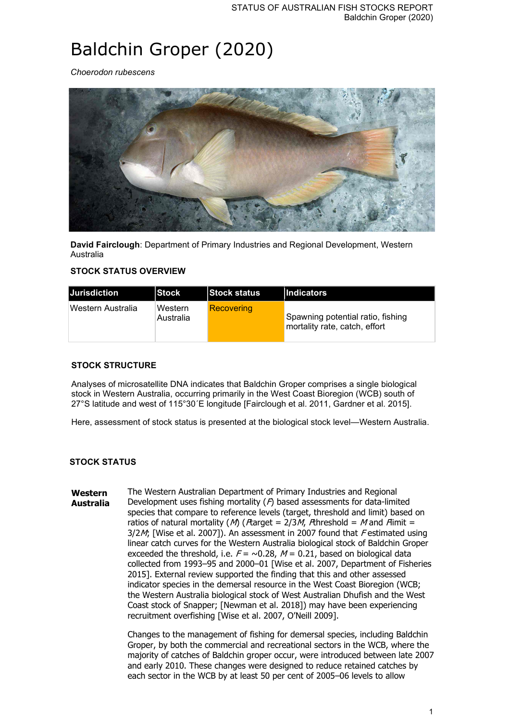# Baldchin Groper (2020)

*Choerodon rubescens*



**David Fairclough**: Department of Primary Industries and Regional Development, Western Australia

# **STOCK STATUS OVERVIEW**

| <b>Jurisdiction</b> | <b>IStock</b>        | <b>Stock status</b> | <b>Indicators</b>                                                  |
|---------------------|----------------------|---------------------|--------------------------------------------------------------------|
| Western Australia   | Western<br>Australia | <b>Recovering</b>   | Spawning potential ratio, fishing<br>mortality rate, catch, effort |

# **STOCK STRUCTURE**

Analyses of microsatellite DNA indicates that Baldchin Groper comprises a single biological stock in Western Australia, occurring primarily in the West Coast Bioregion (WCB) south of 27°S latitude and west of 115°30´E longitude [Fairclough et al. 2011, Gardner et al. 2015].

Here, assessment of stock status is presented at the biological stock level—Western Australia.

## **STOCK STATUS**

**Western Australia** The Western Australian Department of Primary Industries and Regional Development uses fishing mortality  $(P)$  based assessments for data-limited species that compare to reference levels (target, threshold and limit) based on ratios of natural mortality (M) (*F*target = 2/3M, *F*threshold = M and *F*limit =  $3/2M$ ; [Wise et al. 2007]). An assessment in 2007 found that Festimated using linear catch curves for the Western Australia biological stock of Baldchin Groper exceeded the threshold, i.e.  $F = \sim 0.28$ ,  $M = 0.21$ , based on biological data collected from 1993–95 and 2000–01 [Wise et al. 2007, Department of Fisheries 2015]. External review supported the finding that this and other assessed indicator species in the demersal resource in the West Coast Bioregion (WCB; the Western Australia biological stock of West Australian Dhufish and the West Coast stock of Snapper; [Newman et al. 2018]) may have been experiencing recruitment overfishing [Wise et al. 2007, O'Neill 2009].

> Changes to the management of fishing for demersal species, including Baldchin Groper, by both the commercial and recreational sectors in the WCB, where the majority of catches of Baldchin groper occur, were introduced between late 2007 and early 2010. These changes were designed to reduce retained catches by each sector in the WCB by at least 50 per cent of 2005–06 levels to allow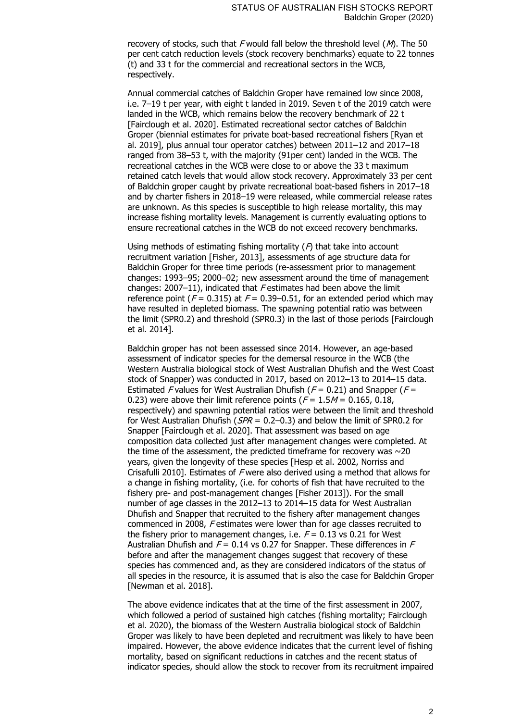recovery of stocks, such that  $F$  would fall below the threshold level ( $M$ ). The 50 per cent catch reduction levels (stock recovery benchmarks) equate to 22 tonnes (t) and 33 t for the commercial and recreational sectors in the WCB, respectively.

Annual commercial catches of Baldchin Groper have remained low since 2008, i.e. 7–19 t per year, with eight t landed in 2019. Seven t of the 2019 catch were landed in the WCB, which remains below the recovery benchmark of 22 t [Fairclough et al. 2020]. Estimated recreational sector catches of Baldchin Groper (biennial estimates for private boat-based recreational fishers [Ryan et al. 2019], plus annual tour operator catches) between 2011–12 and 2017–18 ranged from 38–53 t, with the majority (91per cent) landed in the WCB. The recreational catches in the WCB were close to or above the 33 t maximum retained catch levels that would allow stock recovery. Approximately 33 per cent of Baldchin groper caught by private recreational boat-based fishers in 2017–18 and by charter fishers in 2018–19 were released, while commercial release rates are unknown. As this species is susceptible to high release mortality, this may increase fishing mortality levels. Management is currently evaluating options to ensure recreational catches in the WCB do not exceed recovery benchmarks.

Using methods of estimating fishing mortality  $(P)$  that take into account recruitment variation [Fisher, 2013], assessments of age structure data for Baldchin Groper for three time periods (re-assessment prior to management changes: 1993–95; 2000–02; new assessment around the time of management changes:  $2007-11$ ), indicated that  $F$  estimates had been above the limit reference point ( $F = 0.315$ ) at  $F = 0.39 - 0.51$ , for an extended period which may have resulted in depleted biomass. The spawning potential ratio was between the limit (SPR0.2) and threshold (SPR0.3) in the last of those periods [Fairclough et al. 2014].

Baldchin groper has not been assessed since 2014. However, an age-based assessment of indicator species for the demersal resource in the WCB (the Western Australia biological stock of West Australian Dhufish and the West Coast stock of Snapper) was conducted in 2017, based on 2012–13 to 2014–15 data. Estimated F values for West Australian Dhufish ( $F = 0.21$ ) and Snapper ( $F =$ 0.23) were above their limit reference points ( $F = 1.5M = 0.165$ , 0.18, respectively) and spawning potential ratios were between the limit and threshold for West Australian Dhufish ( $SPR = 0.2-0.3$ ) and below the limit of SPR0.2 for Snapper [Fairclough et al. 2020]. That assessment was based on age composition data collected just after management changes were completed. At the time of the assessment, the predicted time frame for recovery was  $\sim$  20 years, given the longevity of these species [Hesp et al. 2002, Norriss and Crisafulli 2010]. Estimates of  $F$  were also derived using a method that allows for a change in fishing mortality, (i.e. for cohorts of fish that have recruited to the fishery pre- and post-management changes [Fisher 2013]). For the small number of age classes in the 2012–13 to 2014–15 data for West Australian Dhufish and Snapper that recruited to the fishery after management changes commenced in 2008, F estimates were lower than for age classes recruited to the fishery prior to management changes, i.e.  $F = 0.13$  vs 0.21 for West Australian Dhufish and  $F = 0.14$  vs 0.27 for Snapper. These differences in F before and after the management changes suggest that recovery of these species has commenced and, as they are considered indicators of the status of all species in the resource, it is assumed that is also the case for Baldchin Groper [Newman et al. 2018].

The above evidence indicates that at the time of the first assessment in 2007, which followed a period of sustained high catches (fishing mortality; Fairclough et al. 2020), the biomass of the Western Australia biological stock of Baldchin Groper was likely to have been depleted and recruitment was likely to have been impaired. However, the above evidence indicates that the current level of fishing mortality, based on significant reductions in catches and the recent status of indicator species, should allow the stock to recover from its recruitment impaired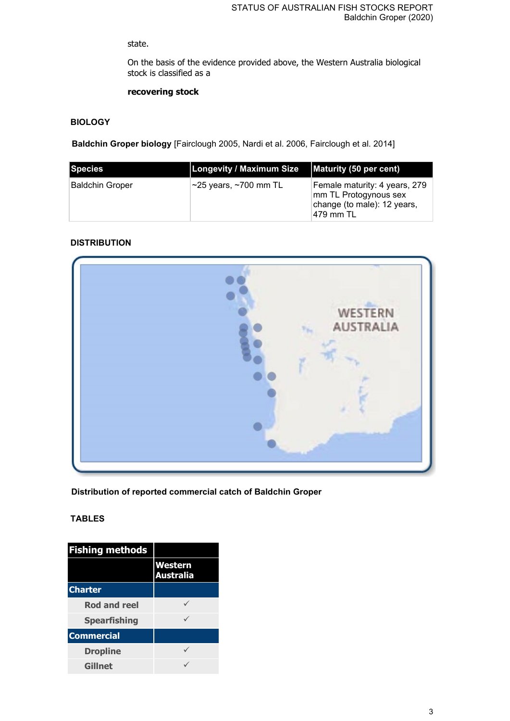# state.

On the basis of the evidence provided above, the Western Australia biological stock is classified as a

# **recovering stock**

# **BIOLOGY**

**Baldchin Groper biology** [Fairclough 2005, Nardi et al. 2006, Fairclough et al. 2014]

| Species         | Longevity / Maximum Size          | Maturity (50 per cent)                                                                              |
|-----------------|-----------------------------------|-----------------------------------------------------------------------------------------------------|
| Baldchin Groper | $\sim$ 25 years, $\sim$ 700 mm TL | Female maturity: 4 years, 279<br>mm TL Protogynous sex<br>change (to male): 12 years,<br> 479 mm TL |

# **DISTRIBUTION**



**Distribution of reported commercial catch of Baldchin Groper**

## **TABLES**

| <b>Fishing methods</b> |                                    |
|------------------------|------------------------------------|
|                        | <b>Western</b><br><b>Australia</b> |
| <b>Charter</b>         |                                    |
| <b>Rod and reel</b>    |                                    |
| <b>Spearfishing</b>    |                                    |
| <b>Commercial</b>      |                                    |
| <b>Dropline</b>        |                                    |
| <b>Gillnet</b>         |                                    |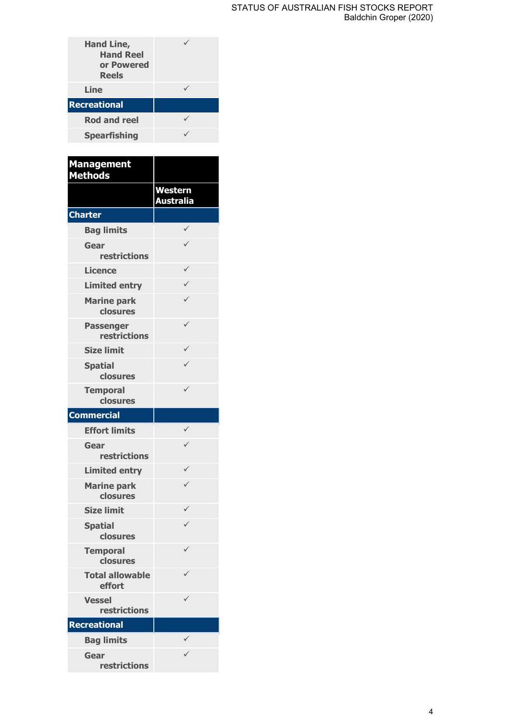| <b>Hand Line,</b><br><b>Hand Reel</b><br>or Powered<br><b>Reels</b> |  |
|---------------------------------------------------------------------|--|
| Line                                                                |  |
| <b>Recreational</b>                                                 |  |
| <b>Rod and reel</b>                                                 |  |
| <b>Spearfishing</b>                                                 |  |
|                                                                     |  |

| <b>Management</b><br><b>Methods</b> |                             |
|-------------------------------------|-----------------------------|
|                                     | <b>Western</b><br>Australia |
| <b>Charter</b>                      |                             |
| <b>Bag limits</b>                   |                             |
| Gear<br>restrictions                |                             |
| <b>Licence</b>                      | ✓                           |
| <b>Limited entry</b>                | $\checkmark$                |
| <b>Marine park</b><br>closures      | ✓                           |
| <b>Passenger</b><br>restrictions    | ✓                           |
| <b>Size limit</b>                   |                             |
| <b>Spatial</b><br>closures          | ✓                           |
| <b>Temporal</b><br>closures         | ✓                           |
| <b>Commercial</b>                   |                             |
| <b>Effort limits</b>                |                             |
| Gear<br>restrictions                |                             |
| <b>Limited entry</b>                | ✓                           |
| <b>Marine park</b><br>closures      | ✓                           |
| <b>Size limit</b>                   | ✓                           |
| <b>Spatial</b><br>closures          | ✓                           |
| <b>Temporal</b><br>closures         |                             |
| <b>Total allowable</b><br>effort    |                             |
| Vessel<br>restrictions              |                             |
| <b>Recreational</b>                 |                             |
| <b>Bag limits</b>                   | ✓                           |
| Gear<br>restrictions                | ✓                           |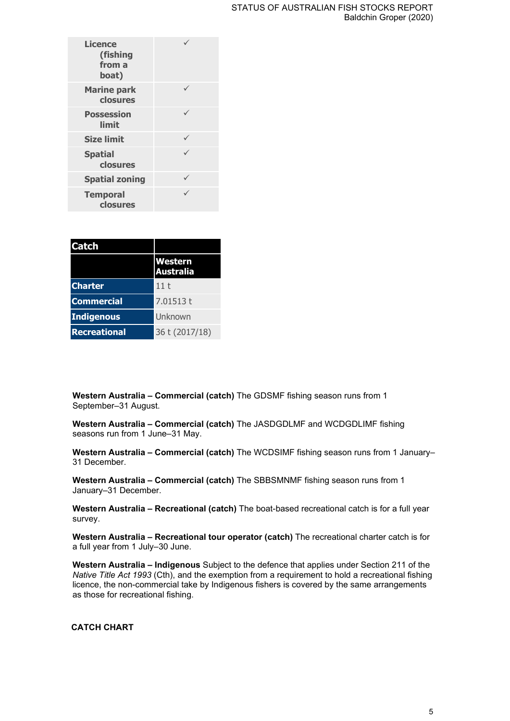| <b>Licence</b><br>(fishing<br>from a<br>boat) |  |
|-----------------------------------------------|--|
| <b>Marine park</b><br>closures                |  |
| <b>Possession</b><br>limit                    |  |
| <b>Size limit</b>                             |  |
| <b>Spatial</b><br>closures                    |  |
| <b>Spatial zoning</b>                         |  |
| <b>Temporal</b><br>closures                   |  |

| <b>Catch</b>        |                                    |
|---------------------|------------------------------------|
|                     | <b>Western</b><br><b>Australia</b> |
| <b>Charter</b>      | 11t                                |
| <b>Commercial</b>   | 7.01513t                           |
| <b>Indigenous</b>   | Unknown                            |
| <b>Recreational</b> | 36 t (2017/18)                     |

**Western Australia – Commercial (catch)** The GDSMF fishing season runs from 1 September–31 August.

**Western Australia – Commercial (catch)** The JASDGDLMF and WCDGDLIMF fishing seasons run from 1 June–31 May.

**Western Australia – Commercial (catch)** The WCDSIMF fishing season runs from 1 January– 31 December.

**Western Australia – Commercial (catch)** The SBBSMNMF fishing season runs from 1 January–31 December.

**Western Australia – Recreational (catch)** The boat-based recreational catch is for a full year survey.

**Western Australia – Recreational tour operator (catch)** The recreational charter catch is for a full year from 1 July–30 June.

**Western Australia – Indigenous** Subject to the defence that applies under Section 211 of the *Native Title Act 1993* (Cth), and the exemption from a requirement to hold a recreational fishing licence, the non-commercial take by Indigenous fishers is covered by the same arrangements as those for recreational fishing.

## **CATCH CHART**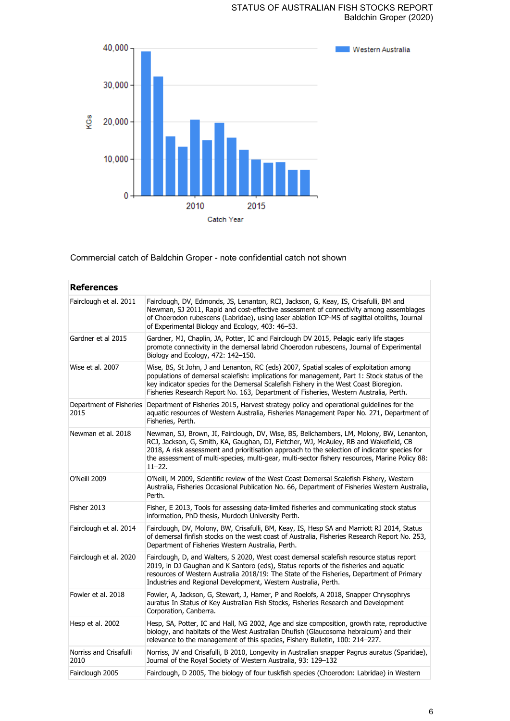

Commercial catch of Baldchin Groper - note confidential catch not shown

| <b>References</b>              |                                                                                                                                                                                                                                                                                                                                                                                                   |
|--------------------------------|---------------------------------------------------------------------------------------------------------------------------------------------------------------------------------------------------------------------------------------------------------------------------------------------------------------------------------------------------------------------------------------------------|
| Fairclough et al. 2011         | Fairclough, DV, Edmonds, JS, Lenanton, RCJ, Jackson, G, Keay, IS, Crisafulli, BM and<br>Newman, SJ 2011, Rapid and cost-effective assessment of connectivity among assemblages<br>of Choerodon rubescens (Labridae), using laser ablation ICP-MS of sagittal otoliths, Journal<br>of Experimental Biology and Ecology, 403: 46-53.                                                                |
| Gardner et al 2015             | Gardner, MJ, Chaplin, JA, Potter, IC and Fairclough DV 2015, Pelagic early life stages<br>promote connectivity in the demersal labrid Choerodon rubescens, Journal of Experimental<br>Biology and Ecology, 472: 142-150.                                                                                                                                                                          |
| Wise et al. 2007               | Wise, BS, St John, J and Lenanton, RC (eds) 2007, Spatial scales of exploitation among<br>populations of demersal scalefish: implications for management, Part 1: Stock status of the<br>key indicator species for the Demersal Scalefish Fishery in the West Coast Bioregion.<br>Fisheries Research Report No. 163, Department of Fisheries, Western Australia, Perth.                           |
| 2015                           | Department of Fisheries Department of Fisheries 2015, Harvest strategy policy and operational guidelines for the<br>aquatic resources of Western Australia, Fisheries Management Paper No. 271, Department of<br>Fisheries, Perth.                                                                                                                                                                |
| Newman et al. 2018             | Newman, SJ, Brown, JI, Fairclough, DV, Wise, BS, Bellchambers, LM, Molony, BW, Lenanton,<br>RCJ, Jackson, G, Smith, KA, Gaughan, DJ, Fletcher, WJ, McAuley, RB and Wakefield, CB<br>2018, A risk assessment and prioritisation approach to the selection of indicator species for<br>the assessment of multi-species, multi-gear, multi-sector fishery resources, Marine Policy 88:<br>$11 - 22.$ |
| O'Neill 2009                   | O'Neill, M 2009, Scientific review of the West Coast Demersal Scalefish Fishery, Western<br>Australia, Fisheries Occasional Publication No. 66, Department of Fisheries Western Australia,<br>Perth.                                                                                                                                                                                              |
| Fisher 2013                    | Fisher, E 2013, Tools for assessing data-limited fisheries and communicating stock status<br>information, PhD thesis, Murdoch University Perth.                                                                                                                                                                                                                                                   |
| Fairclough et al. 2014         | Fairclough, DV, Molony, BW, Crisafulli, BM, Keay, IS, Hesp SA and Marriott RJ 2014, Status<br>of demersal finfish stocks on the west coast of Australia, Fisheries Research Report No. 253,<br>Department of Fisheries Western Australia, Perth.                                                                                                                                                  |
| Fairclough et al. 2020         | Fairclough, D, and Walters, S 2020, West coast demersal scalefish resource status report<br>2019, in DJ Gaughan and K Santoro (eds), Status reports of the fisheries and aguatic<br>resources of Western Australia 2018/19: The State of the Fisheries, Department of Primary<br>Industries and Regional Development, Western Australia, Perth.                                                   |
| Fowler et al. 2018             | Fowler, A, Jackson, G, Stewart, J, Hamer, P and Roelofs, A 2018, Snapper Chrysophrys<br>auratus In Status of Key Australian Fish Stocks, Fisheries Research and Development<br>Corporation, Canberra.                                                                                                                                                                                             |
| Hesp et al. 2002               | Hesp, SA, Potter, IC and Hall, NG 2002, Age and size composition, growth rate, reproductive<br>biology, and habitats of the West Australian Dhufish (Glaucosoma hebraicum) and their<br>relevance to the management of this species, Fishery Bulletin, 100: 214–227.                                                                                                                              |
| Norriss and Crisafulli<br>2010 | Norriss, JV and Crisafulli, B 2010, Longevity in Australian snapper Pagrus auratus (Sparidae),<br>Journal of the Royal Society of Western Australia, 93: 129-132                                                                                                                                                                                                                                  |
| Fairclough 2005                | Fairclough, D 2005, The biology of four tuskfish species (Choerodon: Labridae) in Western                                                                                                                                                                                                                                                                                                         |